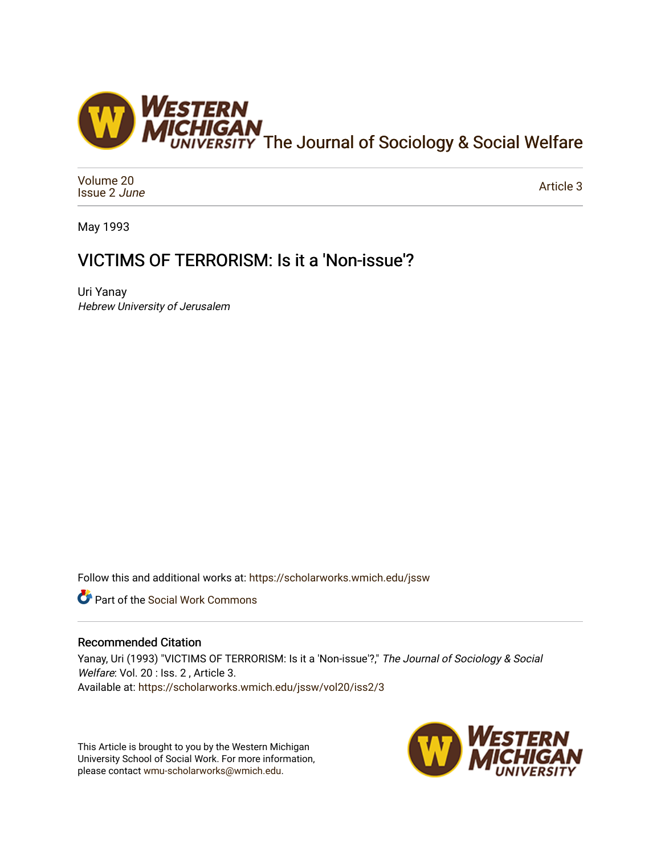

[Volume 20](https://scholarworks.wmich.edu/jssw/vol20) [Issue 2](https://scholarworks.wmich.edu/jssw/vol20/iss2) June

[Article 3](https://scholarworks.wmich.edu/jssw/vol20/iss2/3) 

May 1993

# VICTIMS OF TERRORISM: Is it a 'Non-issue'?

Uri Yanay Hebrew University of Jerusalem

Follow this and additional works at: [https://scholarworks.wmich.edu/jssw](https://scholarworks.wmich.edu/jssw?utm_source=scholarworks.wmich.edu%2Fjssw%2Fvol20%2Fiss2%2F3&utm_medium=PDF&utm_campaign=PDFCoverPages) 

Part of the [Social Work Commons](http://network.bepress.com/hgg/discipline/713?utm_source=scholarworks.wmich.edu%2Fjssw%2Fvol20%2Fiss2%2F3&utm_medium=PDF&utm_campaign=PDFCoverPages)

# Recommended Citation

Yanay, Uri (1993) "VICTIMS OF TERRORISM: Is it a 'Non-issue'?," The Journal of Sociology & Social Welfare: Vol. 20 : Iss. 2, Article 3. Available at: [https://scholarworks.wmich.edu/jssw/vol20/iss2/3](https://scholarworks.wmich.edu/jssw/vol20/iss2/3?utm_source=scholarworks.wmich.edu%2Fjssw%2Fvol20%2Fiss2%2F3&utm_medium=PDF&utm_campaign=PDFCoverPages)

This Article is brought to you by the Western Michigan University School of Social Work. For more information, please contact [wmu-scholarworks@wmich.edu.](mailto:wmu-scholarworks@wmich.edu)

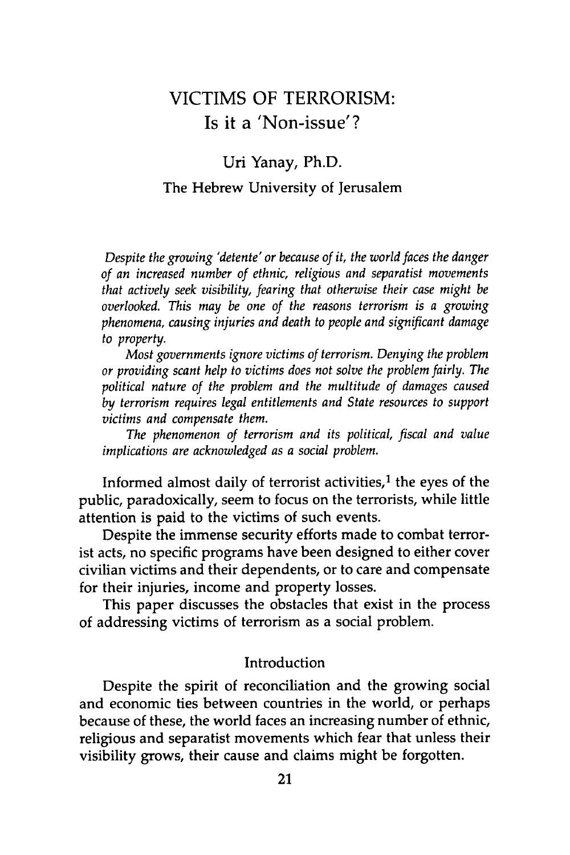# VICTIMS OF TERRORISM: Is it a 'Non-issue'?

# Uri Yanay, Ph.D. The Hebrew University of Jerusalem

*Despite the growing 'detente' or because of it, the world faces the danger of an increased number of ethnic, religious and separatist movements that actively seek visibility, fearing that otherwise their case might be overlooked. This may be one of the reasons terrorism is a growing phenomena, causing injuries and death to people and significant damage to property.*

*Most governments ignore victims of terrorism. Denying the problem or providing scant help to victims does not solve the problem fairly. The political nature of the problem and the multitude of damages caused by terrorism requires legal entitlements and State resources to support victims and compensate them.*

*The phenomenon of terrorism and its political, fiscal and value implications are acknowledged as a social problem.*

Informed almost daily of terrorist activities, $<sup>1</sup>$  the eyes of the</sup> public, paradoxically, seem to focus on the terrorists, while little attention is paid to the victims of such events.

Despite the immense security efforts made to combat terrorist acts, no specific programs have been designed to either cover civilian victims and their dependents, or to care and compensate for their injuries, income and property losses.

This paper discusses the obstacles that exist in the process of addressing victims of terrorism as a social problem.

### Introduction

Despite the spirit of reconciliation and the growing social and economic ties between countries in the world, or perhaps because of these, the world faces an increasing number of ethnic, religious and separatist movements which fear that unless their visibility grows, their cause and claims might be forgotten.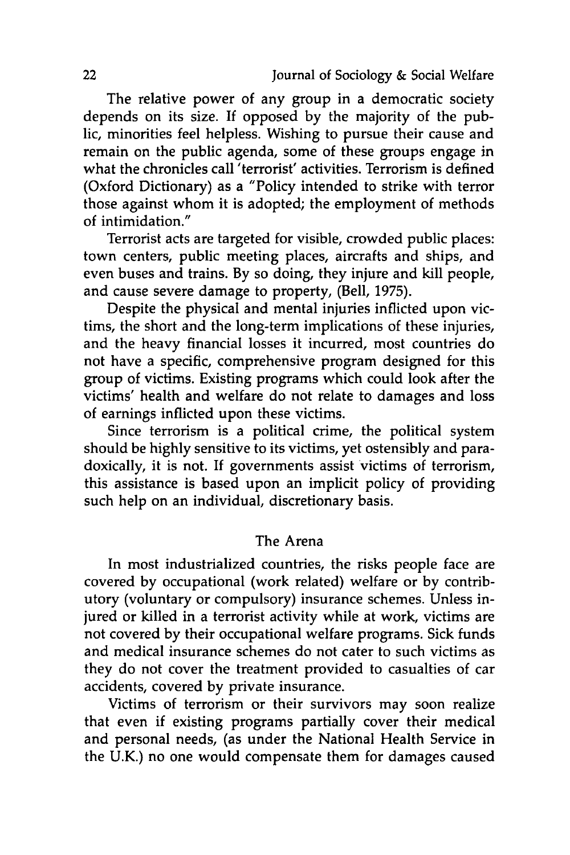The relative power of any group in a democratic society depends on its size. If opposed by the majority of the public, minorities feel helpless. Wishing to pursue their cause and remain on the public agenda, some of these groups engage in what the chronicles call 'terrorist' activities. Terrorism is defined (Oxford Dictionary) as a "Policy intended to strike with terror those against whom it is adopted; the employment of methods of intimidation."

Terrorist acts are targeted for visible, crowded public places: town centers, public meeting places, aircrafts and ships, and even buses and trains. By so doing, they injure and kill people, and cause severe damage to property, (Bell, 1975).

Despite the physical and mental injuries inflicted upon victims, the short and the long-term implications of these injuries, and the heavy financial losses it incurred, most countries do not have a specific, comprehensive program designed for this group of victims. Existing programs which could look after the victims' health and welfare do not relate to damages and loss of earnings inflicted upon these victims.

Since terrorism is a political crime, the political system should be highly sensitive to its victims, yet ostensibly and paradoxically, it is not. If governments assist victims of terrorism, this assistance is based upon an implicit policy of providing such help on an individual, discretionary basis.

# The Arena

In most industrialized countries, the risks people face are covered by occupational (work related) welfare or by contributory (voluntary or compulsory) insurance schemes. Unless injured or killed in a terrorist activity while at work, victims are not covered by their occupational welfare programs. Sick funds and medical insurance schemes do not cater to such victims as they do not cover the treatment provided to casualties of car accidents, covered by private insurance.

Victims of terrorism or their survivors may soon realize that even if existing programs partially cover their medical and personal needs, (as under the National Health Service in the U.K.) no one would compensate them for damages caused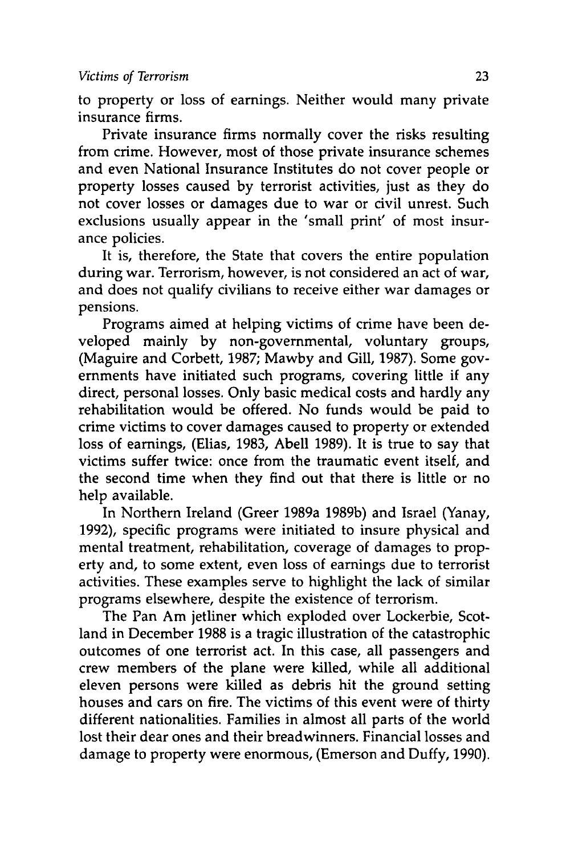to property or loss of earnings. Neither would many private insurance firms.

Private insurance firms normally cover the risks resulting from crime. However, most of those private insurance schemes and even National Insurance Institutes do not cover people or property losses caused by terrorist activities, just as they do not cover losses or damages due to war or civil unrest. Such exclusions usually appear in the 'small print' of most insurance policies.

It is, therefore, the State that covers the entire population during war. Terrorism, however, is not considered an act of war, and does not qualify civilians to receive either war damages or pensions.

Programs aimed at helping victims of crime have been developed mainly by non-governmental, voluntary groups, (Maguire and Corbett, 1987; Mawby and Gill, 1987). Some governments have initiated such programs, covering little if any direct, personal losses. Only basic medical costs and hardly any rehabilitation would be offered. No funds would be paid to crime victims to cover damages caused to property or extended loss of earnings, (Elias, 1983, Abell 1989). It is true to say that victims suffer twice: once from the traumatic event itself, and the second time when they find out that there is little or no help available.

In Northern Ireland (Greer 1989a 1989b) and Israel (Yanay, 1992), specific programs were initiated to insure physical and mental treatment, rehabilitation, coverage of damages to property and, to some extent, even loss of earnings due to terrorist activities. These examples serve to highlight the lack of similar programs elsewhere, despite the existence of terrorism.

The Pan Am jetliner which exploded over Lockerbie, Scotland in December 1988 is a tragic illustration of the catastrophic outcomes of one terrorist act. In this case, all passengers and crew members of the plane were killed, while all additional eleven persons were killed as debris hit the ground setting houses and cars on fire. The victims of this event were of thirty different nationalities. Families in almost all parts of the world lost their dear ones and their breadwinners. Financial losses and damage to property were enormous, (Emerson and Duffy, 1990).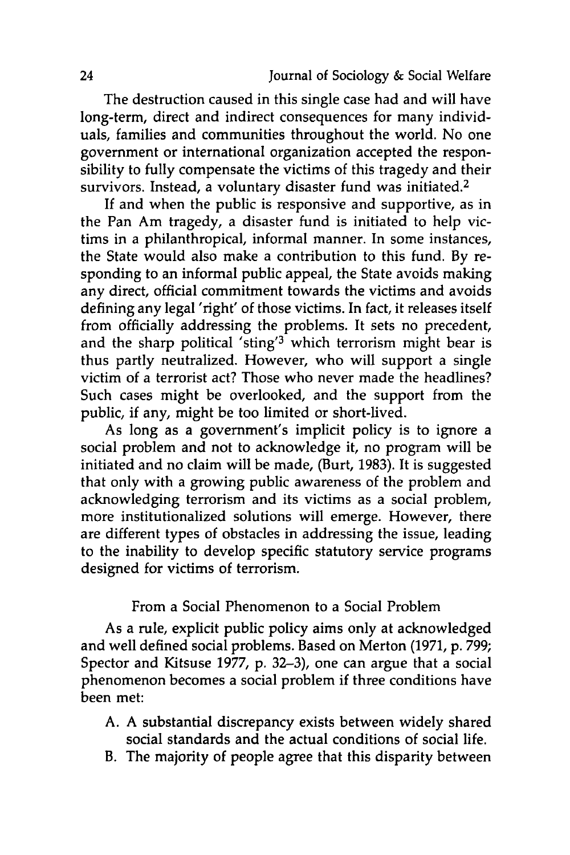The destruction caused in this single case had and will have long-term, direct and indirect consequences for many individuals, families and communities throughout the world. No one government or international organization accepted the responsibility to fully compensate the victims of this tragedy and their survivors. Instead, a voluntary disaster fund was initiated.<sup>2</sup>

If and when the public is responsive and supportive, as in the Pan Am tragedy, a disaster fund is initiated to help victims in a philanthropical, informal manner. In some instances, the State would also make a contribution to this fund. By responding to an informal public appeal, the State avoids making any direct, official commitment towards the victims and avoids defining any legal 'right' of those victims. In fact, it releases itself from officially addressing the problems. It sets no precedent, and the sharp political 'sting'<sup>3</sup> which terrorism might bear is thus partly neutralized. However, who will support a single victim of a terrorist act? Those who never made the headlines? Such cases might be overlooked, and the support from the public, if any, might be too limited or short-lived.

As long as a government's implicit policy is to ignore a social problem and not to acknowledge it, no program will be initiated and no claim will be made, (Burt, 1983). It is suggested that only with a growing public awareness of the problem and acknowledging terrorism and its victims as a social problem, more institutionalized solutions will emerge. However, there are different types of obstacles in addressing the issue, leading to the inability to develop specific statutory service programs designed for victims of terrorism.

From a Social Phenomenon to a Social Problem

As a rule, explicit public policy aims only at acknowledged and well defined social problems. Based on Merton (1971, p. 799; Spector and Kitsuse 1977, p. 32-3), one can argue that a social phenomenon becomes a social problem if three conditions have been met:

- A. A substantial discrepancy exists between widely shared social standards and the actual conditions of social life.
- B. The majority of people agree that this disparity between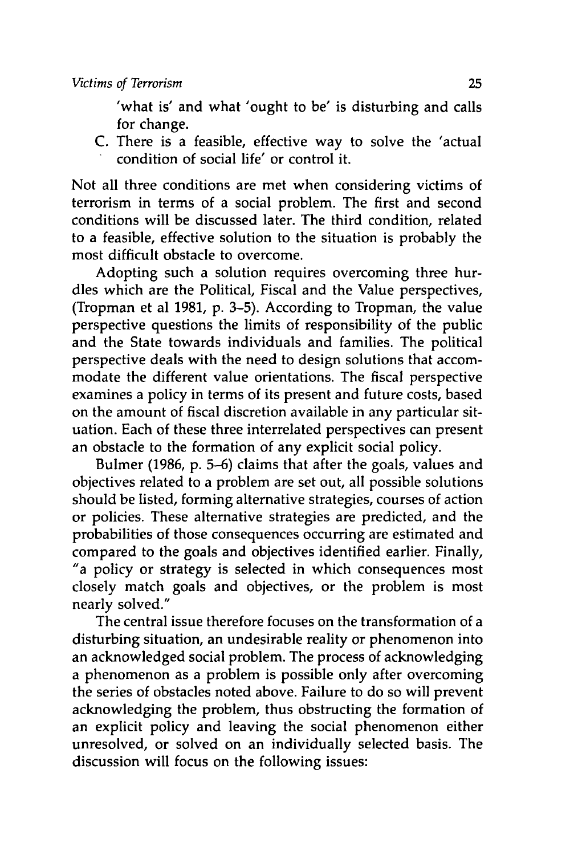'what is' and what 'ought to be' is disturbing and calls for change.

**C.** There is a feasible, effective way to solve the 'actual condition of social life' or control it.

Not all three conditions are met when considering victims of terrorism in terms of a social problem. The first and second conditions will be discussed later. The third condition, related to a feasible, effective solution to the situation is probably the most difficult obstacle to overcome.

Adopting such a solution requires overcoming three hurdles which are the Political, Fiscal and the Value perspectives, (Tropman et al **1981, p. 3-5).** According to Tropman, the value perspective questions the limits of responsibility of the public and the State towards individuals and families. The political perspective deals with the need to design solutions that accommodate the different value orientations. The fiscal perspective examines a policy in terms of its present and future costs, based on the amount of fiscal discretion available in any particular situation. Each of these three interrelated perspectives can present an obstacle to the formation of any explicit social policy.

Bulmer **(1986, p. 5-6)** claims that after the goals, values and objectives related to a problem are set out, all possible solutions should be listed, forming alternative strategies, courses of action or policies. These alternative strategies are predicted, and the probabilities of those consequences occurring are estimated and compared to the goals and objectives identified earlier. Finally, "a policy or strategy is selected in which consequences most closely match goals and objectives, or the problem is most nearly solved."

The central issue therefore focuses on the transformation of a disturbing situation, an undesirable reality or phenomenon into an acknowledged social problem. The process of acknowledging a phenomenon as a problem is possible only after overcoming the series of obstacles noted above. Failure to do so will prevent acknowledging the problem, thus obstructing the formation of an explicit policy and leaving the social phenomenon either unresolved, or solved on an individually selected basis. The discussion will focus on the following issues: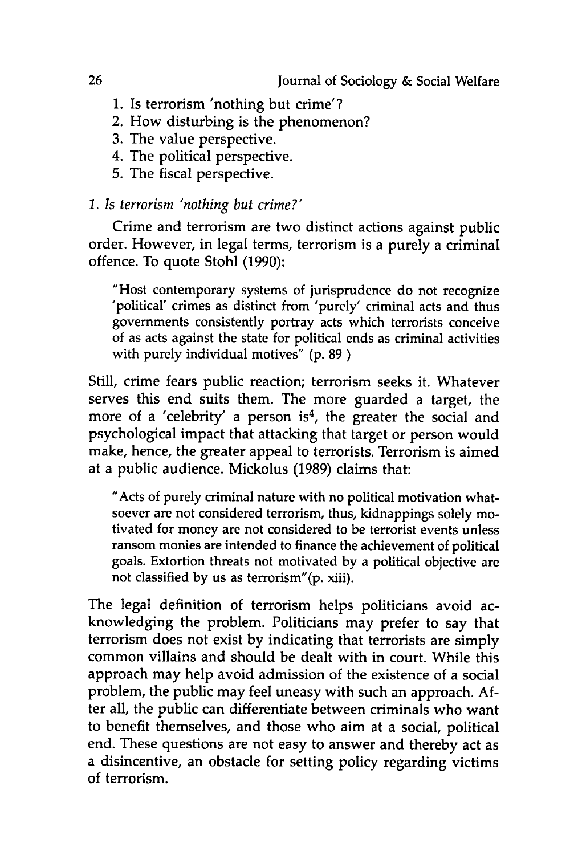- **1.** Is terrorism 'nothing but crime'?
- 2. How disturbing is the phenomenon?
- **3.** The value perspective.
- 4. The political perspective.
- **5.** The fiscal perspective.

# *1. Is terrorism 'nothing but crime?'*

Crime and terrorism are two distinct actions against public order. However, in legal terms, terrorism is a purely a criminal offence. To quote Stohl **(1990):**

"Host contemporary systems of jurisprudence do not recognize 'political' crimes as distinct from 'purely' criminal acts and thus governments consistently portray acts which terrorists conceive of as acts against the state for political ends as criminal activities with purely individual motives" **(p. 89 )**

Still, crime fears public reaction; terrorism seeks it. Whatever serves this end suits them. The more guarded a target, the more of a 'celebrity' a person is<sup>4</sup>, the greater the social and psychological impact that attacking that target or person would make, hence, the greater appeal to terrorists. Terrorism is aimed at a public audience. Mickolus **(1989)** claims that:

"Acts of purely criminal nature with no political motivation whatsoever are not considered terrorism, thus, kidnappings solely motivated for money are not considered to be terrorist events unless ransom monies are intended to finance the achievement of political goals. Extortion threats not motivated **by** a political objective are not classified **by** us as terrorism"(p. xiii).

The legal definition of terrorism helps politicians avoid acknowledging the problem. Politicians may prefer to say that terrorism does not exist **by** indicating that terrorists are simply common villains and should be dealt with in court. While this approach may help avoid admission of the existence of a social problem, the public may feel uneasy with such an approach. **Af**ter all, the public can differentiate between criminals who want to benefit themselves, and those who aim at a social, political end. These questions are not easy to answer and thereby act as a disincentive, an obstacle for setting policy regarding victims of terrorism.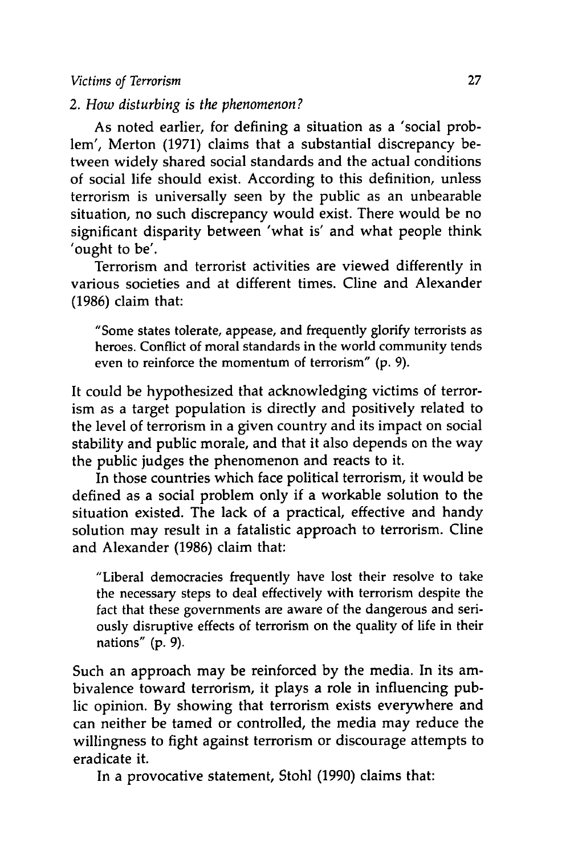#### *Victims of Terrorism* **27**

*2. How disturbing is the phenomenon?*

As noted earlier, for defining a situation as a 'social problem', Merton **(1971)** claims that a substantial discrepancy between widely shared social standards and the actual conditions of social life should exist. According to this definition, unless terrorism is universally seen **by** the public as an unbearable situation, no such discrepancy would exist. There would be no significant disparity between 'what is' and what people think 'ought to be'.

Terrorism and terrorist activities are viewed differently in various societies and at different times. Cline and Alexander **(1986)** claim that:

"Some states tolerate, appease, and frequently glorify terrorists as heroes. Conflict of moral standards in the world community tends even to reinforce the momentum of terrorism" **(p. 9).**

It could be hypothesized that acknowledging victims of terrorism as a target population is directly and positively related to the level of terrorism in a given country and its impact on social stability and public morale, and that it also depends on the way the public judges the phenomenon and reacts to it.

In those countries which face political terrorism, it would be defined as a social problem only if a workable solution to the situation existed. The lack of a practical, effective and handy solution may result in a fatalistic approach to terrorism. Cline and Alexander **(1986)** claim that:

"Liberal democracies frequently have lost their resolve to take the necessary steps to deal effectively with terrorism despite the fact that these governments are aware of the dangerous and seriously disruptive effects of terrorism on the quality of life in their nations" **(p. 9).**

Such an approach may be reinforced **by** the media. In its ambivalence toward terrorism, it plays a role in influencing public opinion. **By** showing that terrorism exists everywhere and can neither be tamed or controlled, the media may reduce the willingness to fight against terrorism or discourage attempts to eradicate it.

In a provocative statement, Stohl **(1990)** claims that: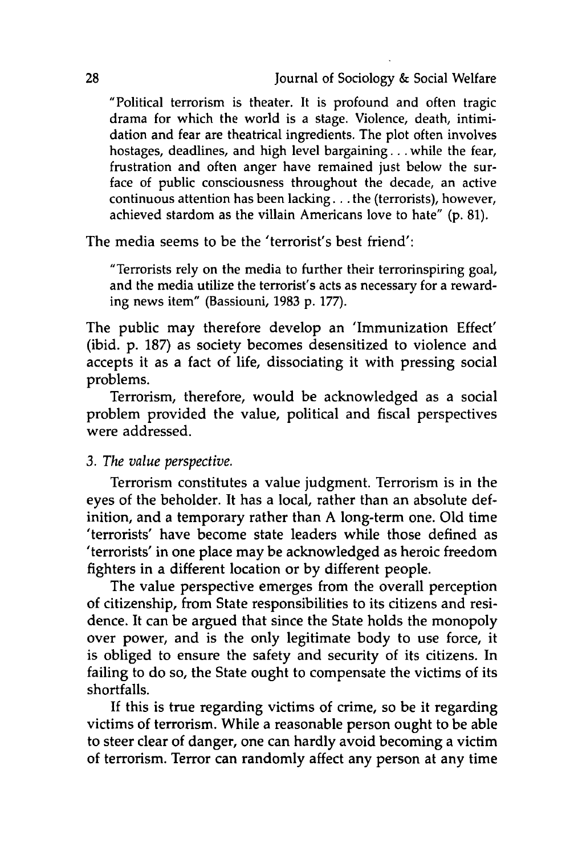"Political terrorism is theater. It is profound and often tragic drama for which the world is a stage. Violence, death, intimidation and fear are theatrical ingredients. The plot often involves hostages, deadlines, and high level bargaining... while the fear, frustration and often anger have remained just below the surface of public consciousness throughout the decade, an active continuous attention has been lacking... the (terrorists), however, achieved stardom as the villain Americans love to hate" **(p. 81).**

The media seems to be the 'terrorist's best friend':

"Terrorists rely on the media to further their terrorinspiring goal, and the media utilize the terrorist's acts as necessary for a rewarding news item" (Bassiouni, **1983 p. 177).**

The public may therefore develop an 'Immunization Effect' (ibid. **p. 187)** as society becomes desensitized to violence and accepts it as a fact of life, dissociating it with pressing social problems.

Terrorism, therefore, would be acknowledged as a social problem provided the value, political and fiscal perspectives were addressed.

*3. The value perspective.*

Terrorism constitutes a value judgment. Terrorism is in the eyes of the beholder. It has a local, rather than an absolute definition, and a temporary rather than **A** long-term one. **Old** time 'terrorists' have become state leaders while those defined as 'terrorists' in one place may be acknowledged as heroic freedom fighters in a different location or **by** different people.

The value perspective emerges from the overall perception of citizenship, from State responsibilities to its citizens and residence. It can be argued that since the State holds the monopoly over power, and is the only legitimate body to use force, it is obliged to ensure the safety and security of its citizens. In failing to do so, the State ought to compensate the victims of its shortfalls.

**If** this is true regarding victims of crime, so be it regarding victims of terrorism. While a reasonable person ought to be able to steer clear of danger, one can hardly avoid becoming a victim of terrorism. Terror can randomly affect any person at any time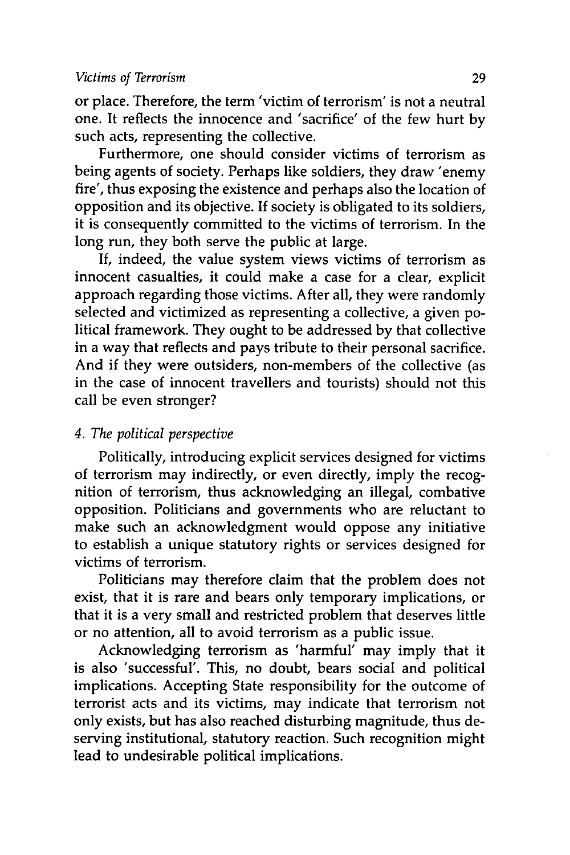or place. Therefore, the term 'victim of terrorism' is not a neutral one. It reflects the innocence and 'sacrifice' of the few hurt by such acts, representing the collective.

Furthermore, one should consider victims of terrorism as being agents of society. Perhaps like soldiers, they draw 'enemy fire', thus exposing the existence and perhaps also the location of opposition and its objective. If society is obligated to its soldiers, it is consequently committed to the victims of terrorism. In the long run, they both serve the public at large.

If, indeed, the value system views victims of terrorism as innocent casualties, it could make a case for a clear, explicit approach regarding those victims. After all, they were randomly selected and victimized as representing a collective, a given political framework. They ought to be addressed by that collective in a way that reflects and pays tribute to their personal sacrifice. And if they were outsiders, non-members of the collective (as in the case of innocent travellers and tourists) should not this call be even stronger?

# *4. The political perspective*

Politically, introducing explicit services designed for victims of terrorism may indirectly, or even directly, imply the recognition of terrorism, thus acknowledging an illegal, combative opposition. Politicians and governments who are reluctant to make such an acknowledgment would oppose any initiative to establish a unique statutory rights or services designed for victims of terrorism.

Politicians may therefore claim that the problem does not exist, that it is rare and bears only temporary implications, or that it is a very small and restricted problem that deserves little or no attention, all to avoid terrorism as a public issue.

Acknowledging terrorism as 'harmful' may imply that it is also 'successful'. This, no doubt, bears social and political implications. Accepting State responsibility for the outcome of terrorist acts and its victims, may indicate that terrorism not only exists, but has also reached disturbing magnitude, thus deserving institutional, statutory reaction. Such recognition might lead to undesirable political implications.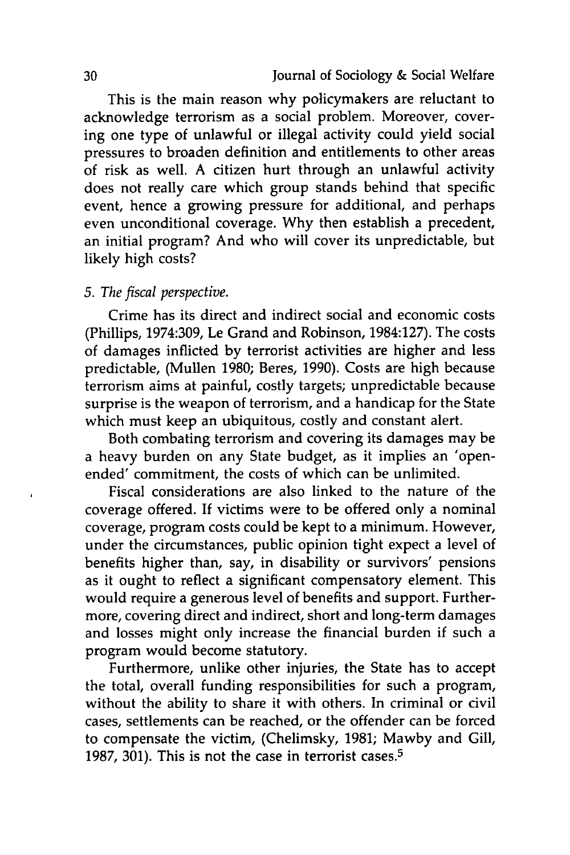This is the main reason why policymakers are reluctant to acknowledge terrorism as a social problem. Moreover, covering one type of unlawful or illegal activity could yield social pressures to broaden definition and entitlements to other areas of risk as well. A citizen hurt through an unlawful activity does not really care which group stands behind that specific event, hence a growing pressure for additional, and perhaps even unconditional coverage. Why then establish a precedent, an initial program? And who will cover its unpredictable, but likely high costs?

#### *5. The fiscal perspective.*

Crime has its direct and indirect social and economic costs (Phillips, 1974:309, Le Grand and Robinson, 1984:127). The costs of damages inflicted by terrorist activities are higher and less predictable, (Mullen 1980; Beres, 1990). Costs are high because terrorism aims at painful, costly targets; unpredictable because surprise is the weapon of terrorism, and a handicap for the State which must keep an ubiquitous, costly and constant alert.

Both combating terrorism and covering its damages may be a heavy burden on any State budget, as it implies an 'openended' commitment, the costs of which can be unlimited.

Fiscal considerations are also linked to the nature of the coverage offered. If victims were to be offered only a nominal coverage, program costs could be kept to a minimum. However, under the circumstances, public opinion tight expect a level of benefits higher than, say, in disability or survivors' pensions as it ought to reflect a significant compensatory element. This would require a generous level of benefits and support. Furthermore, covering direct and indirect, short and long-term damages and losses might only increase the financial burden if such a program would become statutory.

Furthermore, unlike other injuries, the State has to accept the total, overall funding responsibilities for such a program, without the ability to share it with others. In criminal or civil cases, settlements can be reached, or the offender can be forced to compensate the victim, (Chelimsky, 1981; Mawby and Gill, 1987, 301). This is not the case in terrorist cases.<sup>5</sup>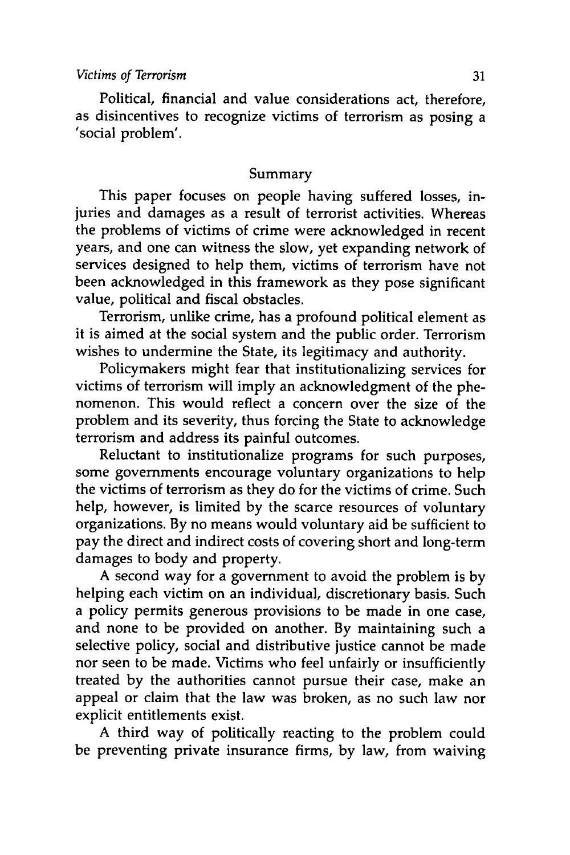Political, financial and value considerations act, therefore, as disincentives to recognize victims of terrorism as posing a 'social problem'.

## Summary

This paper focuses on people having suffered losses, injuries and damages as a result of terrorist activities. Whereas the problems of victims of crime were acknowledged in recent years, and one can witness the slow, yet expanding network of services designed to help them, victims of terrorism have not been acknowledged in this framework as they pose significant value, political and fiscal obstacles.

Terrorism, unlike crime, has a profound political element as it is aimed at the social system and the public order. Terrorism wishes to undermine the State, its legitimacy and authority.

Policymakers might fear that institutionalizing services for victims of terrorism will imply an acknowledgment of the phenomenon. This would reflect a concern over the size of the problem and its severity, thus forcing the State to acknowledge terrorism and address its painful outcomes.

Reluctant to institutionalize programs for such purposes, some governments encourage voluntary organizations to help the victims of terrorism as they do for the victims of crime. Such help, however, is limited **by** the scarce resources of voluntary organizations. **By** no means would voluntary aid be sufficient to pay the direct and indirect costs of covering short and long-term damages to body and property.

A second way for a government to avoid the problem is **by** helping each victim on an individual, discretionary basis. Such a policy permits generous provisions to be made in one case, and none to be provided on another. **By** maintaining such a selective policy, social and distributive justice cannot be made nor seen to be made. Victims who feel unfairly or insufficiently treated **by** the authorities cannot pursue their case, make an appeal or claim that the law was broken, as no such law nor explicit entitlements exist.

A third way of politically reacting to the problem could be preventing private insurance firms, **by** law, from waiving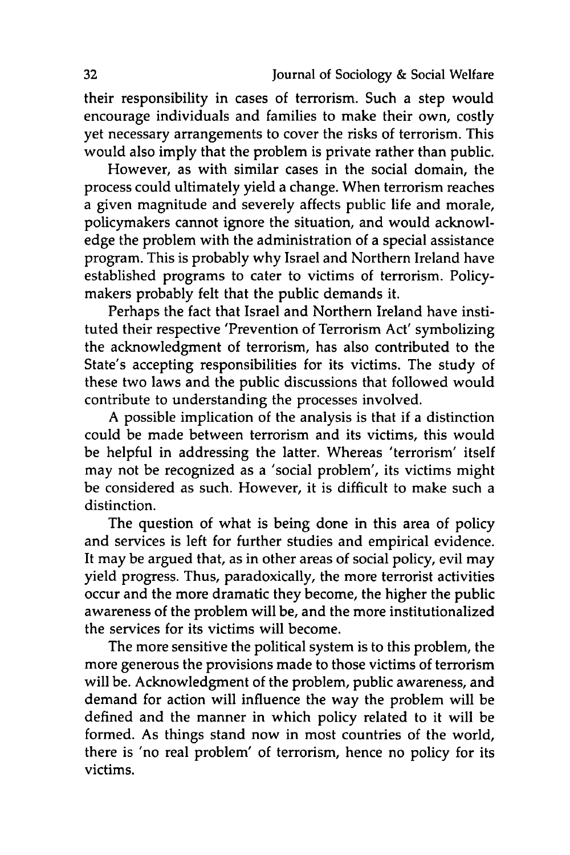their responsibility in cases of terrorism. Such a step would encourage individuals and families to make their own, costly yet necessary arrangements to cover the risks of terrorism. This would also imply that the problem is private rather than public.

However, as with similar cases in the social domain, the process could ultimately yield a change. When terrorism reaches a given magnitude and severely affects public life and morale, policymakers cannot ignore the situation, and would acknowledge the problem with the administration of a special assistance program. This is probably why Israel and Northern Ireland have established programs to cater to victims of terrorism. Policymakers probably felt that the public demands it.

Perhaps the fact that Israel and Northern Ireland have instituted their respective 'Prevention of Terrorism Act' symbolizing the acknowledgment of terrorism, has also contributed to the State's accepting responsibilities for its victims. The study of these two laws and the public discussions that followed would contribute to understanding the processes involved.

A possible implication of the analysis is that if a distinction could be made between terrorism and its victims, this would be helpful in addressing the latter. Whereas 'terrorism' itself may not be recognized as a 'social problem', its victims might be considered as such. However, it is difficult to make such a distinction.

The question of what is being done in this area of policy and services is left for further studies and empirical evidence. It may be argued that, as in other areas of social policy, evil may yield progress. Thus, paradoxically, the more terrorist activities occur and the more dramatic they become, the higher the public awareness of the problem will be, and the more institutionalized the services for its victims will become.

The more sensitive the political system is to this problem, the more generous the provisions made to those victims of terrorism will be. Acknowledgment of the problem, public awareness, and demand for action will influence the way the problem will be defined and the manner in which policy related to it will be formed. As things stand now in most countries of the world, there is 'no real problem' of terrorism, hence no policy for its victims.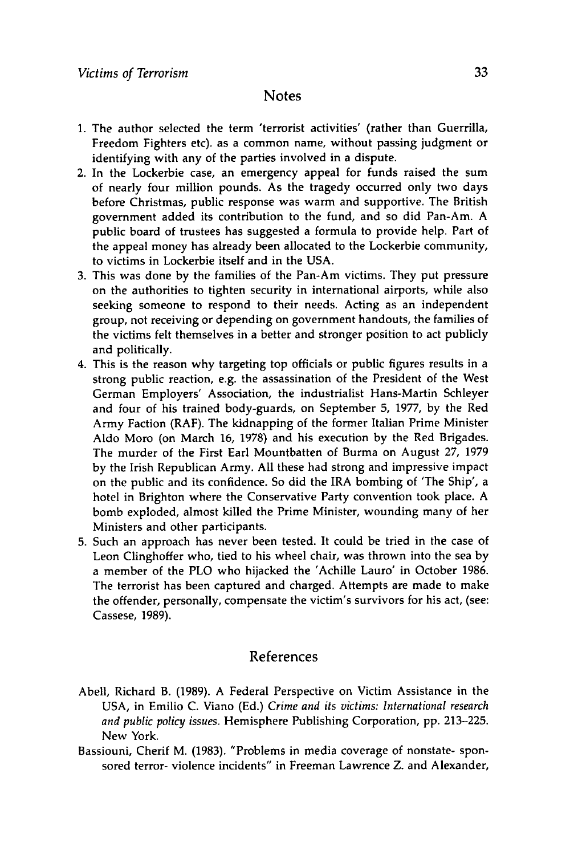#### **Notes**

- **1.** The author selected the term 'terrorist activities' (rather than Guerrilla, Freedom Fighters etc). as a common name, without passing judgment or identifying with any of the parties involved in a dispute.
- 2. In the Lockerbie case, an emergency appeal for funds raised the sum of nearly four million pounds. As the tragedy occurred only two days before Christmas, public response was warm and supportive. The British government added its contribution to the fund, and so did Pan-Am. A public board of trustees has suggested a formula to provide help. Part of the appeal money has already been allocated to the Lockerbie community, to victims in Lockerbie itself and in the **USA.**
- **3.** This was done **by** the families of the Pan-Am victims. They put pressure on the authorities to tighten security in international airports, while also seeking someone to respond to their needs. Acting as an independent group, not receiving or depending on government handouts, the families of the victims felt themselves in a better and stronger position to act publicly and politically.
- 4. This is the reason why targeting top officials or public figures results in a strong public reaction, e.g. the assassination of the President of the West German Employers' Association, the industrialist Hans-Martin Schleyer and four of his trained body-guards, on September **5, 1977, by** the Red Army Faction (RAF). The kidnapping of the former Italian Prime Minister Aldo Moro (on March **16, 1978)** and his execution **by** the Red Brigades. The murder of the First Earl Mountbatten of Burma on August **27, 1979 by** the Irish Republican Army. **All** these had strong and impressive impact on the public and its confidence. So did the IRA bombing of 'The Ship', a hotel in Brighton where the Conservative Party convention took place. A bomb exploded, almost killed the Prime Minister, wounding many of her Ministers and other participants.
- **5.** Such an approach has never been tested. It could be tried in the case of Leon Clinghoffer who, tied to his wheel chair, was thrown into the sea **by** a member of the PLO who hijacked the 'Achille Lauro' in October **1986.** The terrorist has been captured and charged. Attempts are made to make the offender, personally, compensate the victim's survivors for his act, (see: Cassese, **1989).**

# References

- Abell, Richard B. **(1989).** A Federal Perspective on Victim Assistance in the **USA,** in Emilio **C.** Viano **(Ed.)** *Crime and its victims: International research and public policy issues.* Hemisphere Publishing Corporation, **pp. 213-225.** New York.
- Bassiouni, Cherif M. **(1983).** "Problems in media coverage of nonstate- sponsored terror- violence incidents" in Freeman Lawrence Z. and Alexander,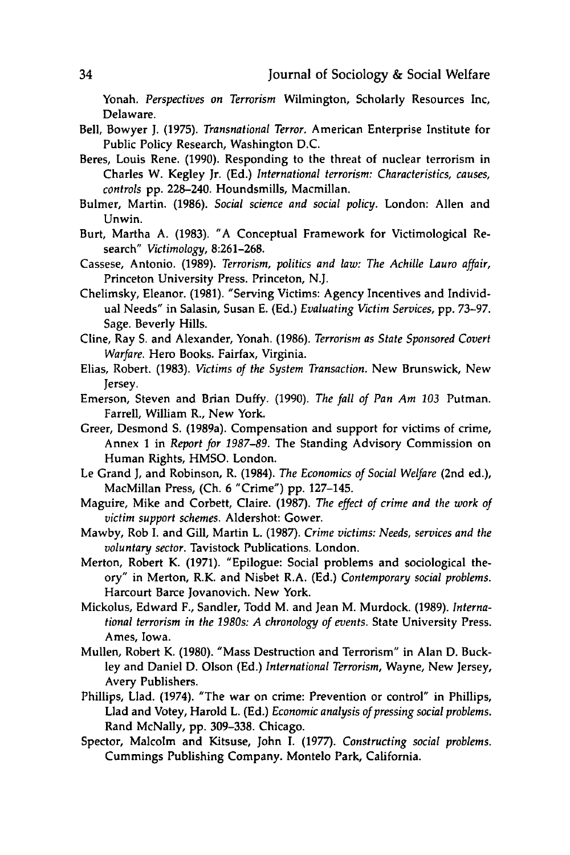Yonah. *Perspectives on Terrorism* Wilmington, Scholarly Resources **Inc,** Delaware.

- Bell, Bowyer **J. (1975).** *Transnational Terror.* American Enterprise Institute for Public Policy Research, Washington **D.C.**
- Beres, Louis Rene. **(1990).** Responding to the threat of nuclear terrorism in Charles W. Kegley Jr. **(Ed.)** *International terrorism: Characteristics, causes, controls* **pp.** 228-240. Houndsmills, Macmillan.
- Bulmer, Martin. **(1986).** *Social science and social policy.* London: Allen and Unwin.
- Burt, Martha **A. (1983).** "A Conceptual Framework for Victimological Research" *Victimology,* **8:261-268.**
- Cassese, Antonio. **(1989).** *Terrorism, politics and law: The Achille Lauro affair,* Princeton University Press. Princeton, **N.J.**
- Chelimsky, Eleanor. **(1981).** "Serving Victims: Agency Incentives and Individual Needs" in Salasin, Susan **E. (Ed.)** *Evaluating Victim Services,* **pp. 73-97.** Sage. Beverly Hills.
- Cline, Ray **S.** and Alexander, Yonah. **(1986).** *Terrorism as State Sponsored Covert Warfare.* Hero Books. Fairfax, Virginia.
- Elias, Robert. **(1983).** *Victims of the System Transaction.* New Brunswick, New Jersey.
- Emerson, Steven and Brian Duffy. **(1990).** *The fall of Pan Am 103* Putman. Farrell, William R., New York.
- Greer, Desmond **S.** (1989a). Compensation and support for victims of crime, Annex **1** in *Report for 1987-89.* The Standing Advisory Commission on Human Rights, **HMSO.** London.
- Le Grand **J,** and Robinson, R. (1984). *The Economics of Social Welfare* (2nd ed.), MacMillan Press, **(Ch. 6** "Crime") **pp.** 127-145.
- Maguire, Mike and Corbett, Claire. **(1987).** *The effect of crime and the work of victim support schemes.* Aldershot: Gower.
- Mawby, Rob **I.** and Gill, Martin L. **(1987).** *Crime victims: Needs, services and the voluntary sector.* Tavistock Publications. London.
- Merton, Robert K. **(1971).** "Epilogue: Social problems and sociological theory" in Merton, R.K. and Nisbet R.A. **(Ed.)** *Contemporary social problems.* Harcourt Barce Jovanovich. New York.
- Mickolus, Edward F., Sandler, Todd M. and Jean M. Murdock. **(1989).** *International terrorism in the 1980s: A chronology of events.* State University Press. Ames, Iowa.
- Mullen, Robert K. **(1980).** "Mass Destruction and Terrorism" in Alan **D.** Buckley and Daniel **D.** Olson **(Ed.)** *International Terrorism,* Wayne, New Jersey, Avery Publishers.
- Phillips, LIad. (1974). "The war on crime: Prevention or control" in Phillips, **Llad** and Votey, Harold L. **(Ed.)** *Economic analysis of pressing social problems.* Rand McNally, **pp. 309-338.** Chicago.
- Spector, Malcolm and Kitsuse, John **I. (1977).** *Constructing social problems.* Cummings Publishing Company. Montelo Park, California.